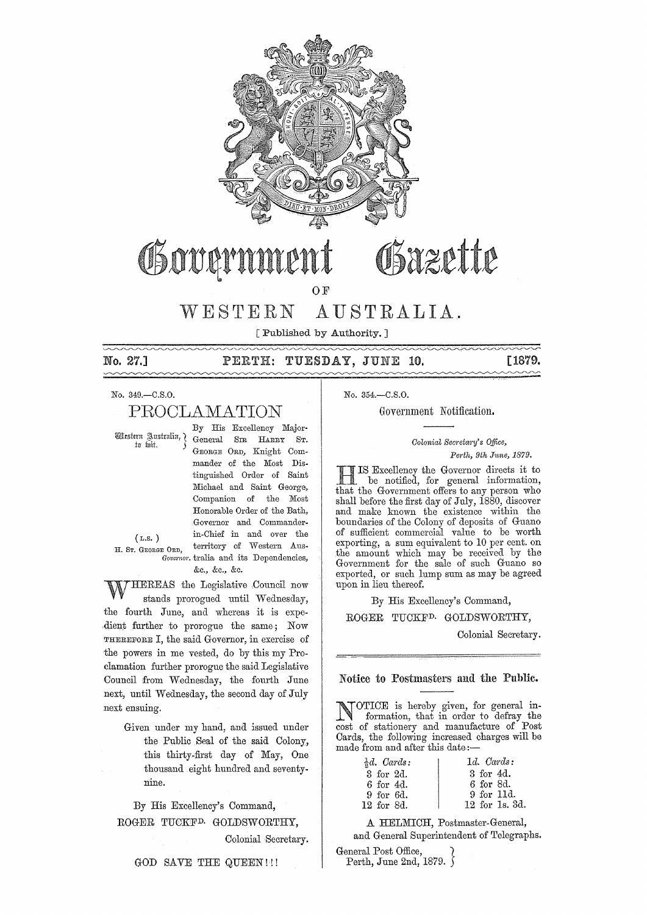

# Osazette (jlltt~rnmtnt

OF

# VVESTERN AUSTRALIA.

[Published by Authority.]

# No. 27.] PERTH: TUESDAY, JUNE 10. [1879.

No. 349.-C.S.O.

# PROOLAMATION

By His Excellency Major- Western Australia, 1 General Srn HARRY ST. GEORGE ORD, Knight Commander of the Most Distinguished Order of Saint Michael and Saint George, Companion of the Most Honorable Order of the Bath, Governor and Commander-(*L.S.*) in-Chief in and over the H. Sr. GEORGE ORD, territory of Western Aus-Governor. tralia and its Dependencies, &c., &c., &c.

THEREAS the Legislative Council now stands prorogued until Wednesday, the fourth June, and whereas it is expedient further to prorogue the same; Now THEREFORE I, the said Governor, in exercise of the powers in me vested, do by this my Proclamation further prorogue the said Legislative Council from Wednesday, the fourth June next, until Wednesday, the second day of July next ensuing.

Given under my hand, and issued under the Public Seal of the said Colony, this thirty-first day of May, One thousand eight hundred and seventynine.

By His Excellency's Command, ROGER TUCKFD. GOLDSWORTHY,

Colonial Secretary.

No. 354.-C.S.O.

Government Notification.

#### *Colonial Secretary's Office, Pm·th, 9th J1tne, 1879.*

HIS Excellency the Governor directs it to be notified, for general information, that the Government offers to any person who shall before the first day of July, 1880, discover and make known the existence within the boundaries of the Colony of deposits of Guano of sufficient commercial value to be worth exporting, a sum equivalent to 10 per cent. on the amount which may be received by the Government for the sale of such Guano so exported, or such lump sum as may be agreed upon in lieu thereof.

By His Excellency's Command,

ROGER TUCKFD. GOLDSWORTHY,

Colonial Secretary.

#### Notice to Postmasters amI the Public.

NOTICE is hereby given, for general information, that in order to defray the cost of stationery and manufacture of Post Cards, the following increased charges will be made from and after this date:-

| $\frac{1}{2}d$ . Cards: | $1d.$ Cards:   |
|-------------------------|----------------|
| 3 for 2d.               | 3 for 4d.      |
| 6 for 4d.               | 6 for 8d.      |
| 9 for 6d.               | 9 for 11d.     |
| 12 for 8d.              | 12 for 1s. 3d. |

A HELMICH, Postmaster-General, and General Superintendent of Telegraphs.

General Post Office, } Perth, June 2nd, 1879. )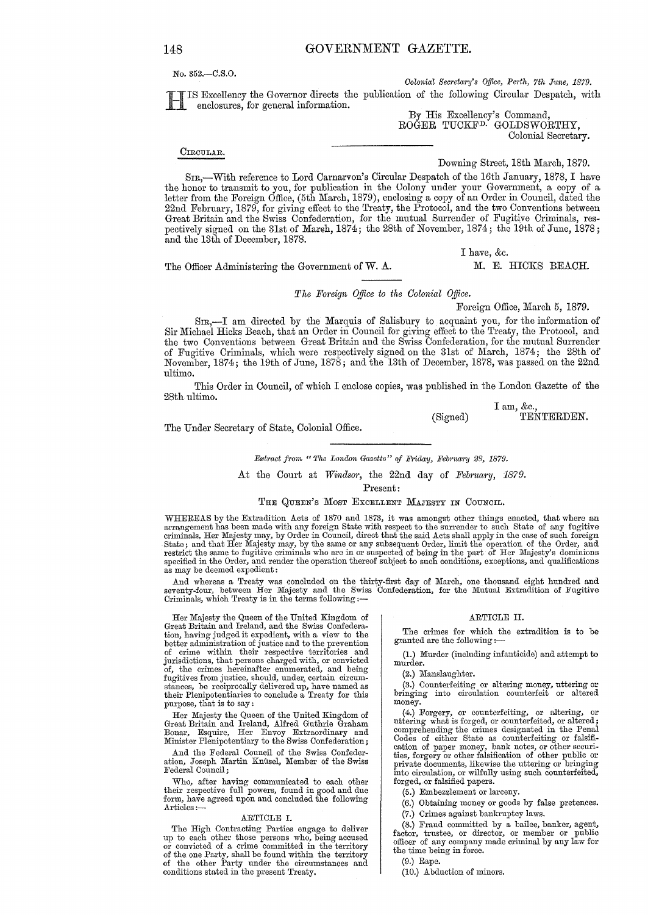No. 352.-C.S.0.

*Colonial Secretary's Office, Perth, 7th June, 1879.* 

IS Excellency the Governor directs the publication of the following Circular Despatch, with enclosures, for general information.

By His Excellency's Command, ROĞER TUCKF<sup>D.</sup> GOLDSWORTHY, Colonial Secretary.

CIRCULAR.

Downing Street, 18th March, 1879.

SIR,-With reference to Lord Carnarvon's Circular Despatch ofthe 16th Jannary, 1878, I have the honor to transmit to you, for publication in the Uolony under your Government, a copy of a letter from the Foreign Office, (5th March, 1879), enclosing a copy of an Order in Council, dated the 22nd February, 1879, for giving effect to the Treaty, the Protocol, and the two Conventions between Great Britain and the Swiss Confederation, for the mutual Surrender of Fugitive Criminals, respectively signed on the 31st of March, 1874; the 28th of November, 1874; the 19th of June, 1878; and the 13th of December, 1878.

I have, &c.

The Officer Administering the Government of W. A. M. E. HICKS BEACH.

*The Foreign O.tfice to the Oolonial Office.* 

Foreign Office, March 5, 1879.

 $SIR$ , $\text{I}$  am directed by the Marquis of Salisbury to acquaint you, for the information of Sir Michael Hicks Beach, that an Order in Council for giving effect to the Treaty, the Protocol, and the two Conventions between Great Britain and the Swiss Confederation, for the mutual Surrender of Fugitive Criminals, which were respectively signed on the 31st of March, 1874; the 28th of November, 1874; the 19th of June, 1878; ancl the 13th of December, 1878, was passed on the 22nd ultimo.

This Order in Council, of which I enclose copies, was published in the London Gazette of the 28th ultimo.

(Signed) I am, &c., TENTERDEN.

The Under Secretary of State, Colonial Office.

*Extract from " The London Gazette" of Friday, February 28, 1879.* 

At the Court at *Windsor*, the 22nd day of *February*, 1879.

Present:

#### THE QUEEN'S MOST EXCELLENT MAJESTY IN COUNCIL.

WHEREAS by the Extradition Acts of 1870 and 1873, it was amongst other things enacted, that where an<br>arrangement has been made with any foreign State with respect to the surrender to such State of any fugitive<br>criminals, H State; and that Her Majesty may, by the same or any subsequent Order, limit the operation of the Order, and<br>restrict the same to fugitive criminals who are in or suspected of being in the part of Her Majesty's dominions<br>sp as may be deemed expedient:

And whereas a Treaty was concluded on the thirty-first day of March, one thousand eight hundred and seventy-four, between Her Majesty and the Swiss Confederation, for the Mutual Extradition of Fugitive<br>Criminals, which Treaty is in the terms following :—

Her Majesty the Queen of the United Kingdom of Great Britain and Ireland, and the Swiss Confedera-tion, having judged it expedient, with a view to the better administration of justice and to the prevention of crime within their respective territories and jurisdictions, that persons charged with, or convicted of, the crimes hereinafter enumerated, and being fugitives from justice, should, under, certain circum-<br>stances, be reciprocally delivered up, have named as their Plenipotentiaries to conclude a Treaty for this purpose, that is to say:

Her Majesty the Queen of the United Kingdom of<br>Great Britain and Ireland, Alfred Guthrie Graham<br>Bonar, Esquire, Her Envoy Extraordinary and<br>Minister Plenipotentiary to the Swiss Confederation;

And the Federal Council of the Swiss Confederation, Joseph Martin Knüsel, Member of the Swiss<br>Federal Council;

Who, after having communicated to each other their respective full powers, found in good and due form, have agreed upon and concluded the following Articles:-

#### ARTICLE I.

The High Contracting Parties engage to deliver up to each other those persons who, being accused<br>or convicted of a crime committed in the territory<br>of the one Party, shall be found within the territory<br>of the other Party under the circumstances and<br>conditions stated in

#### ARTICLE II.

The crimes for which the extradition is to be granted are the following :-

(1.) Mmder (including infanticide) and attempt to murder.

(2.) Manslaughter.

(3.) Counterfeiting or altering money, uttering or bringing into circulation counterfeit or altered money.

(4.) Forgery, 01' counterfeiting, or altering, or uttering what is forged, or counterfeited, or altered; comprehending the crimes designated in the Penal Codes of either State as counterfeiting or falsifi-cation of paper money, bank notes, or other securities, forgery or other falsification of other public or private documents, likewise the uttering or bringing into circulation, or wilfully using such counterfeited, forged, or falsified papers.

(5.) Embezzlement or larceny.

(6.) Obtaining money or goods by false pretences.

(7.) Crimes against bankruptcy laws.

(8.) Fraud committed by a bailee, banker, agent, factor, trustee, or director, or member or public officer of any company made criminal by any law for the time being in force.

(9.) Rape.

(10.) Abduction of minors.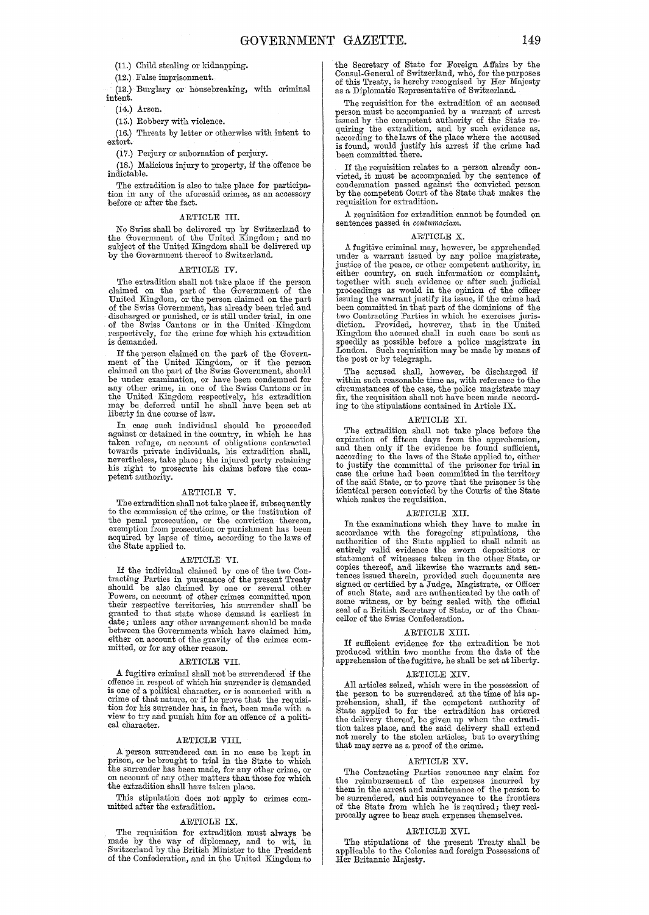(11.) Child stealing or kidnapping.

(12.) False imprisonment.

(13.) Burglary or housebreaking, with criminal intent.

(14.) Arson.

(15.) Robbery with violence.

(16.) Threats by letter or otherwise with intent to extort.

(17.) Perjury or subornation of perjury.

(18.) Malicious injury to property, if the offence be indictable.

The extradition is also to take place for participa-tion in any of the aforesaid crimes, as an accessory before or after the fact.

#### ARTICLE III.

No Swiss shall be delivered up by Switzerland to the Government of the United Kingdom; and no subject of the United Kingdom shall be delivered up by the Government thereof to Switzerland.

#### ARTICLE IV.

The extradition shall not take place if the person claimed on the part of the Government of the United Kingdom, or the person claimed on the part of the Swiss Government, has already been tried and discharged or punished, or is still under trial, in one of the Swiss Cantons or in the United Kingdom respectively, for the crime for which his extradition is demanded.

If the person claimed on the part of the Government of the United Kingdom, or if the person claimed on the part of the Swiss Government, should be under examination, or have been condemned for any other crime, in one of the Swiss Cantons or in the United Kingdom respectively, his extradition may be deferred until he shall have been set at liberty in due course of law.

In case such individual should be proceeded against or detained in the country, in which he has taken refuge, on account of obligations contracted towards private individuals, his extradition shall, nevertheless, take place; the injured party retaining his right to prosecute his claims before the com- petent authority.

#### ARTICLE V.

The extradition shall not take place if, subsequently to the commission of the crime, or the institution of the penal prosecution, or the conviction thereon, exemption from prosecution or punishment has been acquired by lapse of time, according to the laws of the State applied to.

#### ARTICLE VI.

If the individual claimed by one of the two Con-tracting Parties in pursuance of the present Treaty should be also claimed by one or several other Powers, on account of other crimes committed upon their respective territories, his surrender shall be granted to that state whose demand is earliest in date; unless any other arrangement should be made between the Governments which have claimed him, either on account of the gravity of the crimes com- mitted, or for any other reason.

#### ARTICLE VII.

A fugitive criminal shall not be surrendered if the offence in respect of which his surrender is demanded is one of a political character, or is connected with a crime of that nature, or if he prove that the requisition for his surrender has, in fact, been made with a view to try and punish him for an offence of a political character.

#### ARTICLE VIII.

A person surrendered can in no case be kept in prison, or be brought to trial in the State to which the surrender has been made, for any other crime, or on account of any other matters than those for which the extradition shall have taken place.

This stipulation does not apply to crimes com- mitted after the extradition.

#### ARTICLE IX.

The requisition for extradition must always be made by the way of diplomacy, and to wit, in Switzerland by the British Minister to the President of the Confederation, and in the United Kingdom to

the Secretary of State for Foreign Affairs by the Consul-General of Switzerland, who, for the purposes of this Treaty, is hereby recognised by Her Majesty as a Diplomatic Representative of Switzerland.

The requisition for the extradition of an accused person must be accompanied by a warrant of arrest issued by the competent authority of the State re- quiring the extradition, and by such evidence as, according to the laws of the place where the accused is found, would justify his arrest if the crime had been committed there.

If the requisition relates to a person already con- victed, it must be accompanied by the sentence of condemnation passed against the convicted person by the competent Court of the State that makes the requisition for extradition.

A requisition for extradition cannot be founded on sentences passed *in contumaciam.* 

#### ARTICLE X.

A fugitive criminal may, however, be apprehended<br>under a warrant issued by any police magistrate,<br>justice of the peace, or other competent authority, in<br>either country, on such information or complaint,<br>together with such proceedings as would in the opinion of the officer issuing the warrant justify its issue, if the crime had been committed in that part of the dominions of the two Contracting Parties in which he exercises juris-diction. Provided, however, that in the United Kingdom the accused shall in such case be sent as speedily as possible before a police magistrate in London. Such requisition may be made by means of the post or by telegraph.

The accused shall, however, be discharged if within such reasonable time as, with reference to the circumstances of the case, the police magistrate may fix, the requisition shall not have been made according to the stipulations contained in Article IX.

#### ARTICLE XI.

The extradition shall not take place before the expiration of fifteen days from the apprehension, and then only if the evidence be found sufficient, according to the laws of the State applied to, either to justify the committal of the prisoner for trial in case the crime had been committed in the territory of the said State, or to prove that the prisoner is the identical person convicted by the Courts of the State which makes the requisition.

#### AR'rICLE XII.

In the examinations which they have to make in accordance with the foregoing stipulations, the authorities of the State applied to shall admit as<br>entirely valid evidence the sworn depositions or<br>statement of witnesses taken in the other State, or<br>copies thereof, and likewise the warrants and sen-<br>tences issued there of such State, and are authenticated by the oath of some witness, or by being sealed with the official seal of a British Secretary of State, or of the Chan-cellor of the Swiss Confederation.

#### ARTICLE XIII.

If sufficient evidence for the extradition be not produced within two months from the date of the apprehension of the fugitive, he shall be set at liberty.

#### ARTICLE XIV.

All articles seized, which were in the possession of the person to be surrendered at the time of his ap-prehension, shall, if the competent authority of State applied to for the extradition has ordered the delivery thereof, be given up when the extradition takes place, and the said delivery shall extend not merely to the stolen articles, but to everything that may serve as a proof of the crime.

#### ARTICLE XV.

The Contracting Parties renounce any claim for the reimbursement of the expenses incurred by them in the arrest and maintenance of the person to be surrendered, and his conveyance to the frontiers of the State from which he is required; they reciprocally agree to bear such expenses themselves.

#### ARTICLE XVI.

The stipulations of the present Treaty shall be applicable to the Colonies and foreign Possessions of Her Britannic Majesty.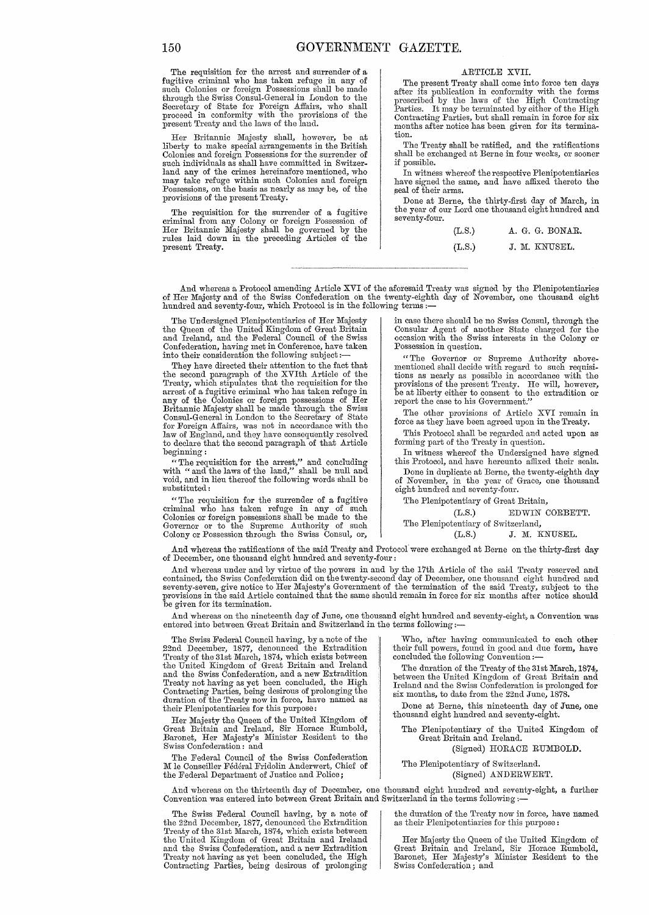The requisition for the arrest and surrender of a fugitive criminal who has taken refuge in any of such Colonies or foreign Possessions shall be made through the Swiss Consul-General in London to the Secretary of State for Foreign Affairs, who shall proceed in conformity with the provisions of the present Treaty and the laws of the land.

Her Britannic Majesty shall, however, be at liberty to make special arrangements in the British Colonies and foreign Possessions for the surrender of such individuals as shall have committed in Switzerland any of the crimes hereinafore mentioned, who may take refuge within such Colonies and foreign Possessions, on the basis as nearly as may be, of the provisions of the present Treaty.

The requisition for the surrender of a fugitive criminal from any Colony or foreign Possession of Her Britannic Majesty shall be governed by the rules laid down in the preceding Articles of the present Treaty.

#### ARTICLE XVII.

The present Treaty shall come into force ten days after its pUblication in conformity with the forms prescribed by the laws of the High Contracting Parties. It may be terminated by either of the High Contracting Parties, but shall remain in force for six months after notice has been given for its terminatien.

The Treaty shall be ratified, and the ratifications shall be exchanged at Berne in four weeks, or sooner if possible.

In witness whereof the respective Plenipotentiaries have signed the same, and have affixed thereto the seal of their arms.

Done at Berne, the thirty-first day of March, in the year of our Lord one thousand eight hundred and seventy-four.

| (L.S.) |  | A. G. G. BONAR. |
|--------|--|-----------------|
| (L.S.) |  | J. M. KNUSEL.   |

And whereas a Protocol amending Article XVI of the aforesaid Treaty was signed by the Plenipotentiaries of Her Majesty and of the Swiss Confederation on the twenty-eighth day of November, one thousand eight hundred and seventy-four, which Protocol is in the following terms :-

The Undersigned Plenipotentiaries of Her Majesty in case there should be no Swiss Consul, through the the Queen of the United Kingdom of Great Britain Consular Agent of another State charged for the and Ireland, and the Federal Council of the Swiss occasion with the Swiss interests in the Colony or Confederation, having met in Conference, have taken Possession in question. into their consideration the following subject:-

They have directed their attention to the fact that the second paragraph of the XVIth Article of the Treaty, which stipulates that the requisition for the arrest of a fugitive criminal who has taken refuge in any of the Colonies or foreign possessions of Her Britannic Majesty shall be made through the Swiss Consul-General in London to the Secretary of State for Foreign Affairs, was not in accordance with the law of England, and they have consequently resolved to declare that the second paragraph of that Article beginning:

" The requisition for the arrest," and concluding with "and the laws of the land," shall be null and void, and in lieu thereof the following words shall be substituted:

"The requisition for the surrender of a fugitive criminal who has taken refuge in any of such Colonies or foreign possessions shall be made to the Governor or to the Supreme Authority of such The Plenipotentiary of Switzerland, Colony or Possession through the Swiss Consul, or, decreed to the Swiss Consul, or, decreed to the CL.S.) J. M. KNUSEL.

"The Governor or Supreme Authority abovementioned shall decide with regard to such requisi-tions as nearly as possible in accordance with the provisions of the present Treaty. He will, however, be at liberty either to consent to the extradition or report the case to his Government."

The other provisions of Article XVI remain in force as they have been agreed upon in the Treaty.

This Protocol shall be regarded and acted upon as forming part of the Treaty in question.

In witness whereof the Undersigned have signed this Protocol, and have hereunto affixed their seals.

Done in duplicate at Berne, the twenty-eighth day of November, in the year of Grace, one thousand eight hundred and seventy-four.

The Plenipotentiary of Great Britain,

(L.S.) EDWIN CORBETT.

And whereas the ratifications of the said Treaty and Protocol' were exchanged at Berne on the thirty-first day of December, one thousand eight hundred and seventy-four:

And whereas under and by virtue of the powers in and by the 17th Article of the said Treaty reserved and<br>contained, the Swiss Confederation did on the twenty-second day of December, one thousand eight hundred and<br>seventy-s be given for its termination.

And whereas on the nineteenth day of June, one thousand eight hundred and seventy-eight, a Convention was entered into between Great Britain and Switzerland in the terms following:-

The Swiss Federal Council having, by a note of the<br>22nd December, 1877, denounced the Extradition<br>Treaty of the 31st March, 1874, which exists between<br>the United Kingdom of Great Britain and Ireland<br>and the Swiss Confedera Treaty not having as yet been concluded, the High Contracting Parties, being desirous of prolonging the duration of the Treaty now in force, have named as their Plenipotentiaries for this purpose:

Her Majesty the Queen of the United Kingdom of Great Britain and Ireland, Sir Horace Rumbold, Baronet, Her Majesty's Minister Resident to the Swiss Confederation : and

The Federal Council of the Swiss Confederation M le Conseiller Fédéral Fridolin Anderwert, Chief of the Federal Department of Justice and Police;

The Swiss Federal Council having, by a note of the 22nd December, 1877, denounced the Extradition Treaty of the 31st March, 1874, which exists between the United Kingdom of Great Britain and Ireland and the Swiss Confederation, and a new Extradition Treaty not having as yet been concluded, the High Contracting Parties, being desirous of prolonging Who, after having communicated to each other their full powers, found in good and due form, have concluded the following Convention:-

The duration of the Treaty of the 31st March, 1874, between the United Kingdom of Great Britain and Ireland and the Swiss Confederation is prolonged for six months, to date from the 22nd June, 1878.

Done at Berne, this nineteenth day of June, one thousand eight hundred and seventy-eight.

The Plenipotentiary of the United Kingdom of Great Britain and Ireland.

(Signed) HORACE RUMBOLD.

#### The Plenipotentiary of Switzerland. (Signed) ANDERWERT.

And whereas on the thirteenth day of December, one thousand eight hundred and seventy-eight, a further Convention was entered into between Great Britain and Switzerland in the terms following:-

the duration of the Treaty now in force, have named as their Plenipotentiaries for this purpose:

Her Majesty the Queen of the United Kingdom of Great Britain and Ireland, Sir Horace Rumbold, Baronet, Her Majesty's Minister Resident to the Swiss Confederation; and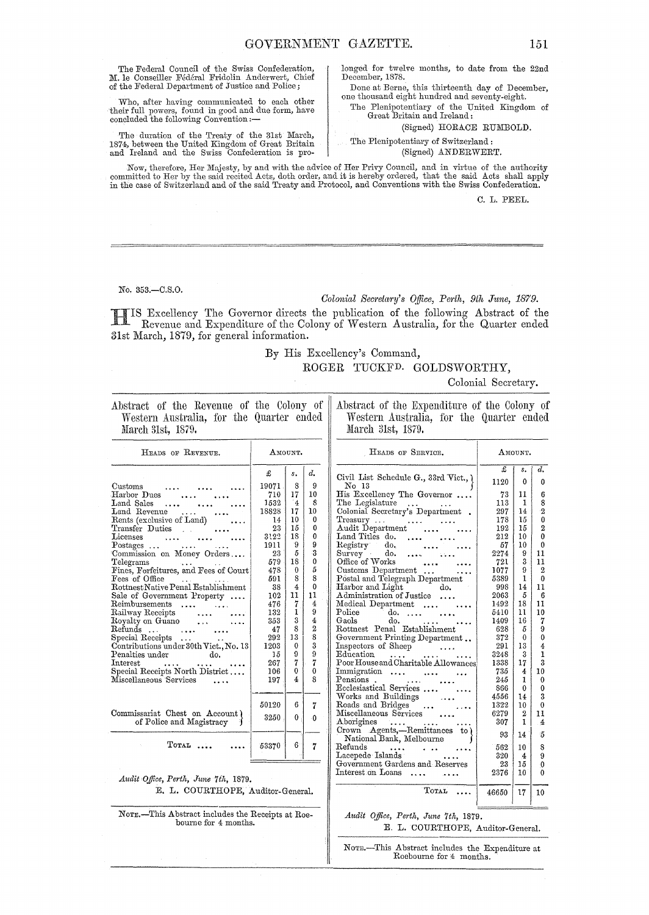The Federal Council of the Swiss Confederation, M. le Conseiller Fédéral Fridolin Anderwert, Chief of the Federal Department of Justice and Police;

Who, after having communicated to each other their full powers, found in good and due form, have concluded the following Convention :-

The duration of the Treaty of the 31st March, The author of the United Kingdom of Great Britain<br>and Ireland and the Swiss Confederation is prolonged for twelve months, to date from the 22nd December, 1878.

Done at Berne, this thirteenth day of December, one thousand eight hundred and seventy-eight. The Plenipotentiary of the United Kingdom of

Great Britain and Ireland:

(Signed) HORACE RUMBOLD.

#### The Plenipotentiary of Switzerland: (Signed) ANDERWERT.

Now, therefore, Her Majesty, by and with the advice of Her Privy Council, and in virtue of the authority committed to Her by the said recited Acts, doth order, and it is hereby ordered, that the said Acts shall apply in th

C. L. PEEL.

No. 353.-C.S.O.

#### Colonial Secretary's Office, Perth, 9th June, 1879.

IS Excellency The Governor directs the publication of the following Abstract of the H Revenue and Expenditure of the Colony of Western Australia, for the Quarter ended 31st March, 1879, for general information.

> By His Excellency's Command, ROGER TUCKFD. GOLDSWORTHY,

Colonial Secretary.

| Abstract of the Revenue of the Colony of |  |  |  |  |
|------------------------------------------|--|--|--|--|
| Western Australia, for the Quarter ended |  |  |  |  |
| March 31st, 1879.                        |  |  |  |  |

Abstract of the Expenditure of the Colony of Western Australia, for the Quarter ended March 31st, 1879.

| HEADS OF REVENUE.                                                                                                                                                                                                                                                                                                                                                                                                                                                               |                                                                                                                             | AMOUNT.                                                                                                                     |                                                                                                                                         | HEADS OF SERVICE.                                                                                                                                                                                                                                                                                                                                                                                                                                                  |                                                                                                                                | AMOUNT.                                                                                                                 |                                                                                                                                                                                   |
|---------------------------------------------------------------------------------------------------------------------------------------------------------------------------------------------------------------------------------------------------------------------------------------------------------------------------------------------------------------------------------------------------------------------------------------------------------------------------------|-----------------------------------------------------------------------------------------------------------------------------|-----------------------------------------------------------------------------------------------------------------------------|-----------------------------------------------------------------------------------------------------------------------------------------|--------------------------------------------------------------------------------------------------------------------------------------------------------------------------------------------------------------------------------------------------------------------------------------------------------------------------------------------------------------------------------------------------------------------------------------------------------------------|--------------------------------------------------------------------------------------------------------------------------------|-------------------------------------------------------------------------------------------------------------------------|-----------------------------------------------------------------------------------------------------------------------------------------------------------------------------------|
| Customs<br>Harbor Dues<br>Land Sales<br>$\cdots$<br>Land Revenue<br>$\ldots$<br>Rents (exclusive of Land)<br>Transfer Duties<br>Licenses<br>$\cdots$<br>$Postages \dots$<br><b><i>Charles Committee State State State</i></b><br>Commission on Money Orders<br>Telegrams<br>Fines, Forfeitures, and Fees of Court<br>Fees of Office<br>Rottnest Native Penal Establishment<br>Sale of Government Property<br>Reimbursements<br>$\cdots$<br>Railway Receipts<br>Royalty on Guano | £<br>19071<br>710<br>1532<br>18828<br>14<br>23<br>3122<br>1911<br>23<br>579<br>478<br>591<br>38<br>102<br>476<br>132<br>353 | s.<br>8<br>17<br>$\overline{\mathbf{4}}$<br>17<br>10<br>15<br>18<br>9<br>5<br>18<br>$\Omega$<br>8<br>4<br>11<br>7<br>1<br>3 | d.<br>9<br>10<br>8<br>$10\,$<br>0<br>$\bf{0}$<br>$\Omega$<br>9<br>3<br>$\bf{0}$<br>5<br>8<br>$\bf{0}$<br>11<br>4<br>9<br>$\overline{4}$ | Civil List Schedule G., 33rd Vict., )<br>No 13<br>His Excellency The Governor<br>The Legislature<br>$\mathbf{1}$<br>Colonial Secretary's Department .<br>Treasury<br>Audit Department<br>Land Titles do.<br>$\cdots$<br>$\rm{Registr}v$<br>do.<br>Survey<br>do.<br>.<br>Office of Works<br>Customs Department<br>Postal and Telegraph Department<br>Harbor and Light<br>do.<br>Administration of Justice<br>Medical Department<br>Police<br>$\phi$<br>Gaols<br>do. | £<br>1120<br>73<br>113<br>297<br>178<br>192<br>212<br>57<br>2274<br>721<br>1077<br>5389<br>998<br>2063<br>1492<br>5410<br>1409 | s.<br>$\mathbf{0}$<br>11<br>1<br>14<br>15<br>15<br>10<br>10<br>9<br>3<br>9<br>$\mathbf{1}$<br>14<br>5<br>18<br>11<br>16 | d.<br>$\theta$<br>6<br>8<br>$\overline{2}$<br>$\theta$<br>$\overline{2}$<br>$\bf{0}$<br>$\bf{0}$<br>11<br>11<br>$\overline{2}$<br>$\ddot{\mathbf{0}}$<br>11<br>6<br>11<br>10<br>7 |
| $\bullet$ and $\bullet$<br>.<br>Refunds<br>$\cdots$<br>Special Receipts<br>Contributions under 30th Vict., No. 13<br>Penalties under<br>do.<br>Interest<br>Special Receipts North District<br>Miscellaneous Services<br>$\cdots$                                                                                                                                                                                                                                                | 47<br>292<br>1203<br>15<br>267<br>106<br>197                                                                                | 8<br>13<br>$\Omega$<br>9<br>$\overline{7}$<br>$\Omega$<br>4                                                                 | $\overline{2}$<br>8<br>3<br>9<br>7<br>0<br>8                                                                                            | Rottnest Penal Establishment<br>Government Printing Department<br>Inspectors of Sheep<br>Education<br>$\mathbf{r}$ , $\mathbf{r}$ , $\mathbf{r}$ , $\mathbf{r}$<br>Poor House and Charitable Allowances<br>Immigration<br>Pensions.<br>Ecclesiastical Services                                                                                                                                                                                                     | 628<br>372<br>291<br>3248<br>1338<br>735<br>245<br>866                                                                         | 5<br>$\mathbf{0}$<br>13<br>3<br>17<br>4<br>1<br>$\Omega$                                                                | 9<br>$\ddot{\mathbf{0}}$<br>4<br>$\mathbf{1}$<br>3<br>10<br>$\bf{0}$<br>$\theta$                                                                                                  |
| Commissariat Chest on Account)<br>of Police and Magistracy                                                                                                                                                                                                                                                                                                                                                                                                                      | 50120<br>3250                                                                                                               | 6<br>0                                                                                                                      | 7<br>$\Omega$                                                                                                                           | Works and Buildings<br>Roads and Bridges<br>.<br>Miscellaneous Services<br>Aborigines<br>1.<br>Crown Agents,-Remittances to)                                                                                                                                                                                                                                                                                                                                       | 4556<br>1322<br>6279<br>307                                                                                                    | 14<br>10<br>$\boldsymbol{2}$<br>$\mathbf{I}$                                                                            | 3<br>$\bf{0}$<br>11<br>$\overline{4}$                                                                                                                                             |
| TOTAL<br>Audit Office, Perth, June 7th, 1879.                                                                                                                                                                                                                                                                                                                                                                                                                                   | 53370                                                                                                                       | $6 -$                                                                                                                       | $\overline{7}$                                                                                                                          | National Bank, Melbourne<br>Refunds<br>Lacepede Islands<br>Government Gardens and Reserves<br>Interest on Loans                                                                                                                                                                                                                                                                                                                                                    | 93<br>562<br>320<br>23<br>2376                                                                                                 | 14<br>10<br>4<br>15<br>10                                                                                               | 5<br>8<br>9<br>$\mathbf{0}$<br>0                                                                                                                                                  |
| E. L. COURTHOPE, Auditor-General.                                                                                                                                                                                                                                                                                                                                                                                                                                               |                                                                                                                             |                                                                                                                             |                                                                                                                                         | TOTAL                                                                                                                                                                                                                                                                                                                                                                                                                                                              | 46650                                                                                                                          | 17                                                                                                                      | 10                                                                                                                                                                                |
| NOTE.—This Abstract includes the Receipts at Roe-<br>bourne for 4 months.                                                                                                                                                                                                                                                                                                                                                                                                       |                                                                                                                             |                                                                                                                             |                                                                                                                                         | Audit Office, Perth, June 7th, 1879.<br>E. L. COURTHOPE, Auditor-General.                                                                                                                                                                                                                                                                                                                                                                                          |                                                                                                                                |                                                                                                                         |                                                                                                                                                                                   |

NOTE.-This Abstract includes the Expenditure at Roebourne for 4 months.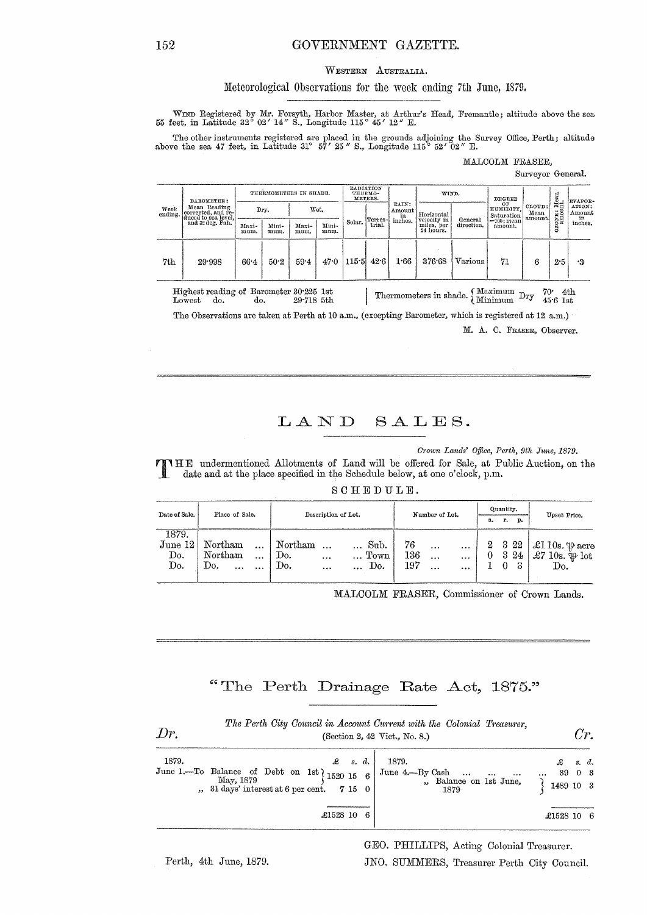### GOVERNMENT GAZETTE.

#### WESTERN AUSTRALIA.

#### Meteorological Observations for the week ending 7th June, 1879.

WIND Registered by Mr. Forsyth, Harbor Master, at Arthur's Head, Fremantle; altitude above the sea 55 feet, in Latitude 32° 02' 14" S., Longitude 115° 45' 12" E.

The other instruments registered are placed in the grounds adjoining the Survey Office, Perth; altitude above the sea 47 feet, in Latitude 31° 57' 25" S., Longitude 115° 52' 02" E.

#### MALCOLM FRASER,

#### Surveyor General.

| Week<br>ending. | <b>BAROMETER:</b><br>Mean Reading<br>corrected, and re-<br>duced to sea level,<br>and 32 deg. Fah.                   | THERMOMETERS IN SHADE. |               |               | <b>RADIATION</b><br>THERMO-<br>METERS. |        |                       | WIND.      |                                        | <b>DEGREE</b>                 |                           |                                    | <b>EVAPOR-</b>   |                         |
|-----------------|----------------------------------------------------------------------------------------------------------------------|------------------------|---------------|---------------|----------------------------------------|--------|-----------------------|------------|----------------------------------------|-------------------------------|---------------------------|------------------------------------|------------------|-------------------------|
|                 |                                                                                                                      |                        | Dry.<br>Wet.  |               |                                        |        | RAIN:<br>Amount<br>in | Horizontal |                                        | OF<br>HUMIDITY,<br>Saturation | CLOUD:<br>Mean<br>amount. | ដ្ឋីដូ<br>$\cdots$<br>ONTE<br>8880 | ATION:<br>Amount |                         |
|                 |                                                                                                                      | Maxi-<br>mum.          | Mini-<br>mum. | Maxi-<br>mum. | Mini-<br>mum.                          | Solar. | Terres-<br>trial.     | inches.    | velocity in<br>miles, per<br>24 hours. | General<br>direction.         | =100; mean<br>amount.     |                                    | š                | $\inf_{\text{inches.}}$ |
| 7th             | 29.998                                                                                                               | 664                    | 50.2          | 59.4          | 47.0                                   | 115.5  | 42.6                  | 1.66       | 376.68                                 | Various                       | 71                        | 6                                  | 2.5              | ٠3                      |
|                 | Highest reading of Barometer 30.225 1st.<br>$\Omega$ Maximum $\sim$<br>70 $\cdot$<br>4th<br>.<br>$\bullet$<br>$\sim$ |                        |               |               |                                        |        |                       |            |                                        |                               |                           |                                    |                  |                         |

Thermometers in shade. Minimum Dry 45.6 1st Lowest do.  $29.718$  5th  $\overline{d}$ .

The Observations are taken at Perth at 10 a.m., (excepting Barometer, which is registered at 12 a.m.) M. A. C. FRASER, Observer.

## LAND SALES.

Crown Lands' Office, Perth, 9th June, 1879.

THE undermentioned Allotments of Land will be offered for Sale, at Public Auction, on the date and at the place specified in the Schedule below, at one o'clock, p.m.

SCHEDULE.

| Date of Sale. | Place of Sale.      | Description of Lot. |                          |          |          | Number of Lot.   | Quantity. |           |          | Upset Price. |    |         |                             |
|---------------|---------------------|---------------------|--------------------------|----------|----------|------------------|-----------|-----------|----------|--------------|----|---------|-----------------------------|
|               |                     |                     |                          |          |          |                  |           |           |          | a.           | r. | p.      |                             |
| 1879.         |                     |                     |                          |          |          |                  |           |           |          |              |    |         |                             |
| June 12       | Northam<br>$\cdots$ |                     | $\operatorname{Northam}$ |          |          | Sub.             | 76        | $\cdots$  | $\cdots$ | $^{2}$       |    | $3\,22$ | $\vert$ £1 10s. $\psi$ acre |
| Do.           | Northam<br>         |                     | Do.                      |          |          | T <sub>own</sub> | 136       |           |          |              | 3  | 24      | £7 10s. $\psi$ lot          |
| Do.           | Do.<br><br>$\cdots$ |                     | Do.                      | $\cdots$ | $\cdots$ | Do.              | 197       | $\ddotsc$ |          |              |    |         | Do.                         |
|               |                     |                     |                          |          |          |                  |           |           |          |              |    |         |                             |

MALCOLM FRASER, Commissioner of Crown Lands.

## "The Perth Drainage Rate Act, 1875."

| Dr.   | The Perth City Council in Account Current with the Colonial Treasurer,<br>(Section 2, 42 Vict., No. 8.)                                 |                                                            |                                                       |  |  |  |  |  |
|-------|-----------------------------------------------------------------------------------------------------------------------------------------|------------------------------------------------------------|-------------------------------------------------------|--|--|--|--|--|
| 1879. | $\mathcal{L}$ s.d.<br>June 1.--To Balance of Debt on 1st $1520 15 6$<br>May, 1879<br>$, 31 \text{ days}$ interest at 6 per cent. 7 15 0 | 1879.<br>June 4.-By Cash<br>, Balance on 1st June,<br>1879 | $\mathcal{L}$ s.d.<br>39 0 3<br>$\cdots$<br>1489 10 3 |  |  |  |  |  |
|       | £1528 10 6                                                                                                                              |                                                            | £1528 10<br>- 6                                       |  |  |  |  |  |

 $\sim$   $\sim$ 

GEO. PHILLIPS, Acting Colonial Treasurer.

Perth, 4th June, 1879.

152

JNO. SUMMERS, Treasurer Perth City Council.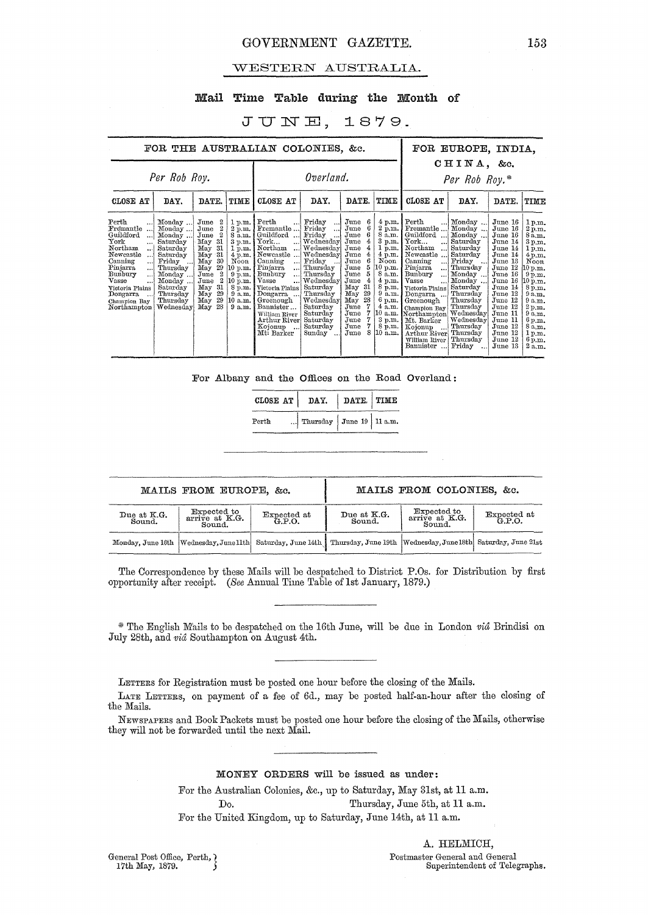### GOVERNMENT GAZETTE. 153

#### WESTERN AUSTRALIA.

#### Mail Time Table during the Month of

### JUNE, 1879.

| FOR THE AUSTRALIAN COLONIES, &c.                                                                                                                                                                                                                           |                                                                                                                                                                     |                                                                                                                                                                                                 |                                                                                                                                             |                                                                                                                                                                                                                                                                          |                                                                                                                                                                                                                       |                                                                                                                                                                                              |                                                                                                                                                                                                | FOR EUROPE, INDIA,                                                                                                                                                                                                                                                                                                                  |                                                                                                                                                                                                                |                                                                                                                                                                                                                          |                                                                                                                                                                                                 |
|------------------------------------------------------------------------------------------------------------------------------------------------------------------------------------------------------------------------------------------------------------|---------------------------------------------------------------------------------------------------------------------------------------------------------------------|-------------------------------------------------------------------------------------------------------------------------------------------------------------------------------------------------|---------------------------------------------------------------------------------------------------------------------------------------------|--------------------------------------------------------------------------------------------------------------------------------------------------------------------------------------------------------------------------------------------------------------------------|-----------------------------------------------------------------------------------------------------------------------------------------------------------------------------------------------------------------------|----------------------------------------------------------------------------------------------------------------------------------------------------------------------------------------------|------------------------------------------------------------------------------------------------------------------------------------------------------------------------------------------------|-------------------------------------------------------------------------------------------------------------------------------------------------------------------------------------------------------------------------------------------------------------------------------------------------------------------------------------|----------------------------------------------------------------------------------------------------------------------------------------------------------------------------------------------------------------|--------------------------------------------------------------------------------------------------------------------------------------------------------------------------------------------------------------------------|-------------------------------------------------------------------------------------------------------------------------------------------------------------------------------------------------|
|                                                                                                                                                                                                                                                            | Per Rob Roy.                                                                                                                                                        |                                                                                                                                                                                                 |                                                                                                                                             | Overland.                                                                                                                                                                                                                                                                |                                                                                                                                                                                                                       |                                                                                                                                                                                              |                                                                                                                                                                                                |                                                                                                                                                                                                                                                                                                                                     | CHINA, &c.<br>Per Rob Roy.*                                                                                                                                                                                    |                                                                                                                                                                                                                          |                                                                                                                                                                                                 |
| CLOSE AT                                                                                                                                                                                                                                                   | DAY.                                                                                                                                                                | DATE.                                                                                                                                                                                           | TIME                                                                                                                                        | CLOSE AT                                                                                                                                                                                                                                                                 | DAY.                                                                                                                                                                                                                  | DATE.                                                                                                                                                                                        | TIME                                                                                                                                                                                           | CLOSE AT                                                                                                                                                                                                                                                                                                                            | DAY.                                                                                                                                                                                                           | DATE.                                                                                                                                                                                                                    | TIME                                                                                                                                                                                            |
| Perth<br>Fremantle<br>Guildford<br>$\ddots$<br>York<br>$\cdots$<br>Northam.<br>$\ddotsc$<br>Newcastle<br>$\ldots$<br>Canning<br><br>Pinjarra<br><br>Bunbury<br>$\cdots$<br>Vasse<br>!<br>Victoria Plains<br>Dongarra<br>انت<br>Champion Bay<br>Northampton | Monday<br>Monday<br>Monday<br>Saturday<br>Saturday<br>Saturday<br>Friday<br>المعاد<br>Thursday<br>Monday<br>Monday<br>Saturday<br>Thursday<br>Thursday<br>Wednesday | June<br>2<br>$^{2}$<br>June<br>$^{2}$<br>June<br>31<br>May<br>31<br>May<br>$-31$<br>May<br>May<br>30<br>29<br>May<br>2<br>June<br>2<br>June<br>31<br>May<br>29<br>May<br>29<br>May<br>28<br>May | 1 p.m.<br>2 p.m.<br>8a.m.<br>3 p.m.<br>1 p.m.<br>$4$ p.m.<br>Noon<br>10 p.m. l<br>9 p.m.<br>10 p.m.<br>8 p.m.<br>9a.m.<br>10 a.m.<br>9 a.m. | Perth<br>$\cdots$<br>Fremantle<br>Guildford<br>York<br>Northam<br>Newcastle<br>!<br>Canning<br>Pinjarra<br>Bunbury<br>Vasse<br>Victoria Plains<br>Dongarra  Thursday<br>Greenough<br>Bannister<br>William River<br>Arthur River Saturday<br>Kojonup<br>. 1<br>Mt: Barker | Friday<br>اءه<br>Friday<br>اء ء<br>Friday<br>$\ddotsc$<br>Wednesday<br>Wednesday<br>Wednesday<br>  Friday<br>Thursday<br>Thursday<br>Wednesday<br>Saturday<br>Wednesday<br>Saturday<br>Saturday<br>Saturday<br>Sunday | June<br>June<br>June<br>June<br>4<br>June<br>June<br>June<br>June<br>June<br>5<br>June<br>4<br>May<br>-31<br>29<br>May<br>28<br>May<br>June<br>June<br>June<br>June<br>8<br>$_{\text{June}}$ | 4 p.m.<br>2 p.m.<br>8 a.m.<br>3 p.m.<br>1 p.m.<br>4 p.m.<br>$_{\rm Noon}$<br>10 p.m. ł<br>8 a.m.<br>4 p.m.<br>8 p.m.<br>9a.m.<br>6 p.m.  <br>4a.m.<br>$10$ a.m.<br>3 p.m.<br>8 p.m.<br>10 a.m. | Perth<br><br>Fremantle<br>Guildford<br>$\operatorname{York}$<br><br>Northam<br>$\ddotsc$<br>Newcastle<br>Canning<br>!<br>Pinjarra<br>!<br>Bunbury<br><br>Vasse<br>Victoria Plains<br>Dongarra<br>Greenough<br>Champion Bay Thursday<br>Northampton Wednesday<br>Mt. Barker<br>Kojonup<br>Arthur River<br>William River<br>Bannister | Monday<br>Monday<br>Monday<br>Saturday<br>Saturday<br>Saturday<br>Friday<br>. 1<br>Thursday<br>Monday<br>Monday<br>Saturday<br>Thursday<br>Thursday<br>Wednesday<br>Thursday<br>Thursday<br>Thursday<br>Friday | June 16<br>June 16<br>June 16<br>June 14<br>June 14<br>June 14<br>June 13<br>June 12<br>June 16<br>June 16<br>June 14<br>June 12<br>June 12<br>June 12<br>June 11<br>June 11<br>June 12<br>June 12<br>June 12<br>June 13 | 1pm.<br>2 p.m.<br>8a.m.<br>3 p.m.<br>1 p.m.<br>4 p.m.<br>Noon<br>10 p.m.<br>9 p.m.<br>10 p.m.<br>8 p.m.<br>$9a_m$<br>9 a.m.<br>2 p.m.<br>9a.m.<br>6 p.m.<br>8 a.m.<br>1 p.m.<br>6 p.m.<br>2a.m. |

For Albany and the Offices on the Road Overland:

|       | CLOSE AT   DAY.            | DATE TIME |  |
|-------|----------------------------|-----------|--|
| Perth | Thursday $June 19$ 11 a.m. |           |  |

|                       | MAILS FROM EUROPE, &c.                  |                    |                                                                                        | MAILS FROM COLONIES, &c.                |                    |
|-----------------------|-----------------------------------------|--------------------|----------------------------------------------------------------------------------------|-----------------------------------------|--------------------|
| Due at K.G.<br>Sound. | Expected to<br>arrive at K.G.<br>Sound. | Expected at G.P.O. | Due at K.G.<br>Sound.                                                                  | Expected to<br>arrive at K.G.<br>Sound. | Expected at G.P.O. |
|                       | Monday, June 16th Wednesday, June 11th  |                    | Saturday, June 14th   Thursday, June 19th   Wednesday, June 18th   Saturday, June 21st |                                         |                    |

The Correspondence by these Mails will be despatched to District P.Os. for Distribution by first opportunity after receipt. *(See* Annual Time Table oflst January, 1879.)

\* The English Mails to be despatched on the 16th June, will be due in London *vid* Brindisi on July 28th, and *vid* Southampton on August 4th.

LETTERS for Registration must be posted one hour before the closing of the Mails.

LATE LETTERS, on payment of a fee of 6d., may be posted half-an-hour after the closing of the Mails.

NEWSPAPERS and Book Packets must be posted one hom before the closing of the Mails, otherwise they will not be forwarded until the next Mail.

#### MONEY ORDERS will be issued as under:

For the Australian Colonies, &c., up to Saturday, May 31st, at 11 a.m. Do. Thursday, June 5th, at 11 a.m. For the United Kingdom, up to Saturday, June 14th, at 11 a.m.

General Post Office, Perth,  $\left\{\n \begin{array}{c}\n 17th \text{ May, } 1879.\n \end{array}\n \right\}$ 

A. HELMICH, Postmaster General and General Superintendent of Telegraphs.